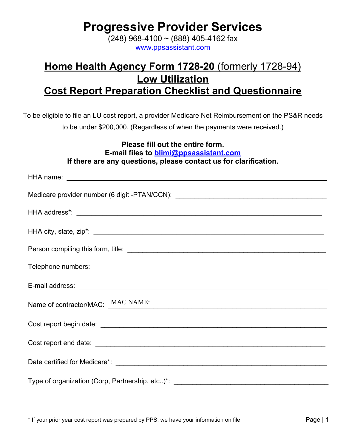**MAC NAME:**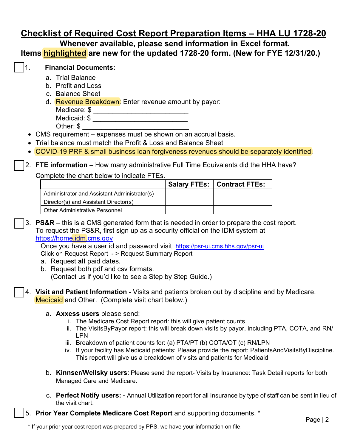